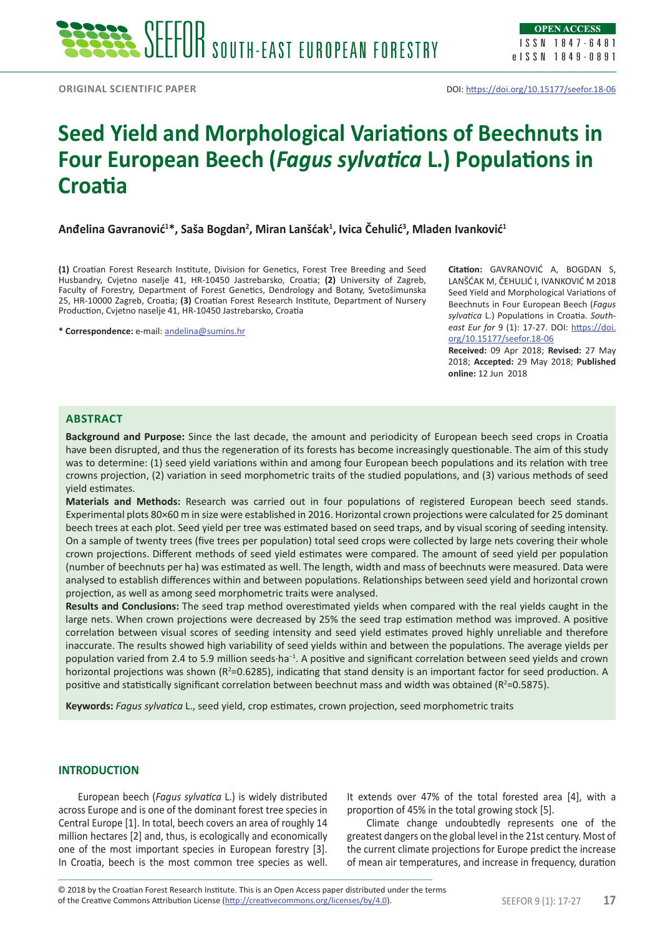# **Seed Yield and Morphological Variations of Beechnuts in Four European Beech (***Fagus sylvatica* **L.) Populations in Croatia**

**Anđelina Gavranović<sup>1</sup> \*, Saša Bogdan2 , Miran Lanšćak<sup>1</sup> , Ivica Čehulić3 , Mladen Ivanković<sup>1</sup>**

**(1)** Croatian Forest Research Institute, Division for Genetics, Forest Tree Breeding and Seed Husbandry, Cvjetno naselje 41, HR-10450 Jastrebarsko, Croatia; **(2)** University of Zagreb, Faculty of Forestry, Department of Forest Genetics, Dendrology and Botany, Svetošimunska 25, HR-10000 Zagreb, Croatia; **(3)** Croatian Forest Research Institute, Department of Nursery Production, Cvjetno naselje 41, HR-10450 Jastrebarsko, Croatia

**\* Correspondence:** e-mail: [andelina@sumins.hr](mailto:andelina@sumins.hr)

**Citation:** GAVRANOVIĆ A, BOGDAN S, LANŠĆAK M, ČEHULIĆ I, IVANKOVIĆ M 2018 Seed Yield and Morphological Variations of Beechnuts in Four European Beech (*Fagus sylvatica* L.) Populations in Croatia. *Southeast Eur for* 9 (1): 17-27. DOI: [https://doi.](https://doi.org/10.15177/seefor.18-06) [org/10.15177/seefor.18-06](https://doi.org/10.15177/seefor.18-06)

**Received:** 09 Apr 2018; **Revised:** 27 May 2018; **Accepted:** 29 May 2018; **Published online:** 12 Jun 2018

## **Abstract**

**Background and Purpose:** Since the last decade, the amount and periodicity of European beech seed crops in Croatia have been disrupted, and thus the regeneration of its forests has become increasingly questionable. The aim of this study was to determine: (1) seed yield variations within and among four European beech populations and its relation with tree crowns projection, (2) variation in seed morphometric traits of the studied populations, and (3) various methods of seed yield estimates.

**Materials and Methods:** Research was carried out in four populations of registered European beech seed stands. Experimental plots 80×60 m in size were established in 2016. Horizontal crown projections were calculated for 25 dominant beech trees at each plot. Seed yield per tree was estimated based on seed traps, and by visual scoring of seeding intensity. On a sample of twenty trees (five trees per population) total seed crops were collected by large nets covering their whole crown projections. Different methods of seed yield estimates were compared. The amount of seed yield per population (number of beechnuts per ha) was estimated as well. The length, width and mass of beechnuts were measured. Data were analysed to establish differences within and between populations. Relationships between seed yield and horizontal crown projection, as well as among seed morphometric traits were analysed.

**Results and Conclusions:** The seed trap method overestimated yields when compared with the real yields caught in the large nets. When crown projections were decreased by 25% the seed trap estimation method was improved. A positive correlation between visual scores of seeding intensity and seed yield estimates proved highly unreliable and therefore inaccurate. The results showed high variability of seed yields within and between the populations. The average yields per population varied from 2.4 to 5.9 million seeds·ha<sup>-1</sup>. A positive and significant correlation between seed yields and crown horizontal projections was shown ( $R^2$ =0.6285), indicating that stand density is an important factor for seed production. A positive and statistically significant correlation between beechnut mass and width was obtained ( $R^2$ =0.5875).

**Keywords:** *Fagus sylvatica* L., seed yield, crop estimates, crown projection, seed morphometric traits

## **INTRODUCTION**

European beech (*Fagus sylvatica* L.) is widely distributed across Europe and is one of the dominant forest tree species in Central Europe [1]. In total, beech covers an area of roughly 14 million hectares [2] and, thus, is ecologically and economically one of the most important species in European forestry [3]. In Croatia, beech is the most common tree species as well. It extends over 47% of the total forested area [4], with a proportion of 45% in the total growing stock [5].

Climate change undoubtedly represents one of the greatest dangers on the global level in the 21st century. Most of the current climate projections for Europe predict the increase of mean air temperatures, and increase in frequency, duration

of the Creative Commons Attribution License (<http://creativecommons.org/licenses/by/4.0>). SEEFOR 9 (1): 17-27 **17** © 2018 by the Croatian Forest Research Institute. This is an Open Access paper distributed under the terms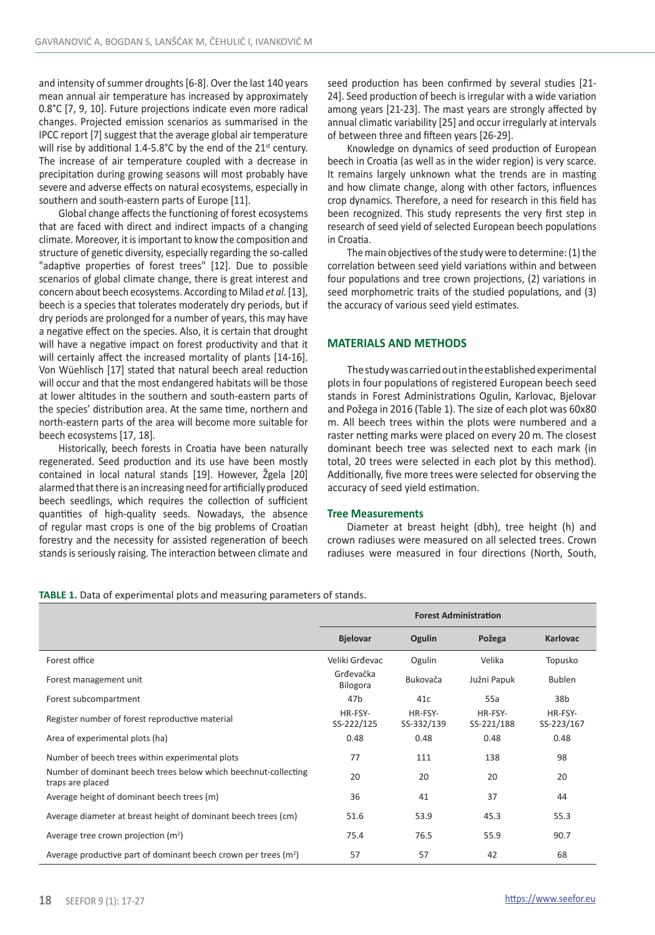and intensity of summer droughts [6-8]. Over the last 140 years mean annual air temperature has increased by approximately 0.8°C [7, 9, 10]. Future projections indicate even more radical changes. Projected emission scenarios as summarised in the IPCC report [7] suggest that the average global air temperature will rise by additional 1.4-5.8°C by the end of the  $21<sup>st</sup>$  century. The increase of air temperature coupled with a decrease in precipitation during growing seasons will most probably have severe and adverse effects on natural ecosystems, especially in southern and south-eastern parts of Europe [11].

Global change affects the functioning of forest ecosystems that are faced with direct and indirect impacts of a changing climate. Moreover, it is important to know the composition and structure of genetic diversity, especially regarding the so-called "adaptive properties of forest trees" [12]. Due to possible scenarios of global climate change, there is great interest and concern about beech ecosystems. According to Milad *et al.* [13], beech is a species that tolerates moderately dry periods, but if dry periods are prolonged for a number of years, this may have a negative effect on the species. Also, it is certain that drought will have a negative impact on forest productivity and that it will certainly affect the increased mortality of plants [14-16]. Von Wüehlisch [17] stated that natural beech areal reduction will occur and that the most endangered habitats will be those at lower altitudes in the southern and south-eastern parts of the species' distribution area. At the same time, northern and north-eastern parts of the area will become more suitable for beech ecosystems [17, 18].

Historically, beech forests in Croatia have been naturally regenerated. Seed production and its use have been mostly contained in local natural stands [19]. However, Žgela [20] alarmed that there is an increasing need for artificially produced beech seedlings, which requires the collection of sufficient quantities of high-quality seeds. Nowadays, the absence of regular mast crops is one of the big problems of Croatian forestry and the necessity for assisted regeneration of beech stands is seriously raising. The interaction between climate and seed production has been confirmed by several studies [21- 24]. Seed production of beech is irregular with a wide variation among years [21-23]. The mast years are strongly affected by annual climatic variability [25] and occur irregularly at intervals of between three and fifteen years [26-29].

Knowledge on dynamics of seed production of European beech in Croatia (as well as in the wider region) is very scarce. It remains largely unknown what the trends are in masting and how climate change, along with other factors, influences crop dynamics. Therefore, a need for research in this field has been recognized. This study represents the very first step in research of seed yield of selected European beech populations in Croatia.

The main objectives of the study were to determine: (1) the correlation between seed yield variations within and between four populations and tree crown projections, (2) variations in seed morphometric traits of the studied populations, and (3) the accuracy of various seed yield estimates.

## **MATERIALS AND METHODS**

The study was carried out in the established experimental plots in four populations of registered European beech seed stands in Forest Administrations Ogulin, Karlovac, Bjelovar and Požega in 2016 (Table 1). The size of each plot was 60x80 m. All beech trees within the plots were numbered and a raster netting marks were placed on every 20 m. The closest dominant beech tree was selected next to each mark (in total, 20 trees were selected in each plot by this method). Additionally, five more trees were selected for observing the accuracy of seed yield estimation.

#### **Tree Measurements**

Diameter at breast height (dbh), tree height (h) and crown radiuses were measured on all selected trees. Crown radiuses were measured in four directions (North, South,

|  |  |  |  | TABLE 1. Data of experimental plots and measuring parameters of stands. |
|--|--|--|--|-------------------------------------------------------------------------|
|--|--|--|--|-------------------------------------------------------------------------|

|                                                                                    | <b>Forest Administration</b> |                       |                       |                       |  |
|------------------------------------------------------------------------------------|------------------------------|-----------------------|-----------------------|-----------------------|--|
|                                                                                    | <b>Bjelovar</b>              | Ogulin                | Požega                | <b>Karlovac</b>       |  |
| Forest office                                                                      | Veliki Grđevac               | Ogulin                | Velika                | Topusko               |  |
| Forest management unit                                                             | Grđevačka<br><b>Bilogora</b> | Bukovača              | Južni Papuk           | <b>Bublen</b>         |  |
| Forest subcompartment                                                              | 47b                          | 41c                   | 55a                   | 38b                   |  |
| Register number of forest reproductive material                                    | HR-FSY-<br>SS-222/125        | HR-FSY-<br>SS-332/139 | HR-FSY-<br>SS-221/188 | HR-FSY-<br>SS-223/167 |  |
| Area of experimental plots (ha)                                                    | 0.48                         | 0.48                  | 0.48                  | 0.48                  |  |
| Number of beech trees within experimental plots                                    | 77                           | 111                   | 138                   | 98                    |  |
| Number of dominant beech trees below which beechnut-collecting<br>traps are placed | 20                           | 20                    | 20                    | 20                    |  |
| Average height of dominant beech trees (m)                                         | 36                           | 41                    | 37                    | 44                    |  |
| Average diameter at breast height of dominant beech trees (cm)                     | 51.6                         | 53.9                  | 45.3                  | 55.3                  |  |
| Average tree crown projection (m <sup>2</sup> )                                    | 75.4                         | 76.5                  | 55.9                  | 90.7                  |  |
| Average productive part of dominant beech crown per trees $(m2)$                   | 57                           | 57                    | 42                    | 68                    |  |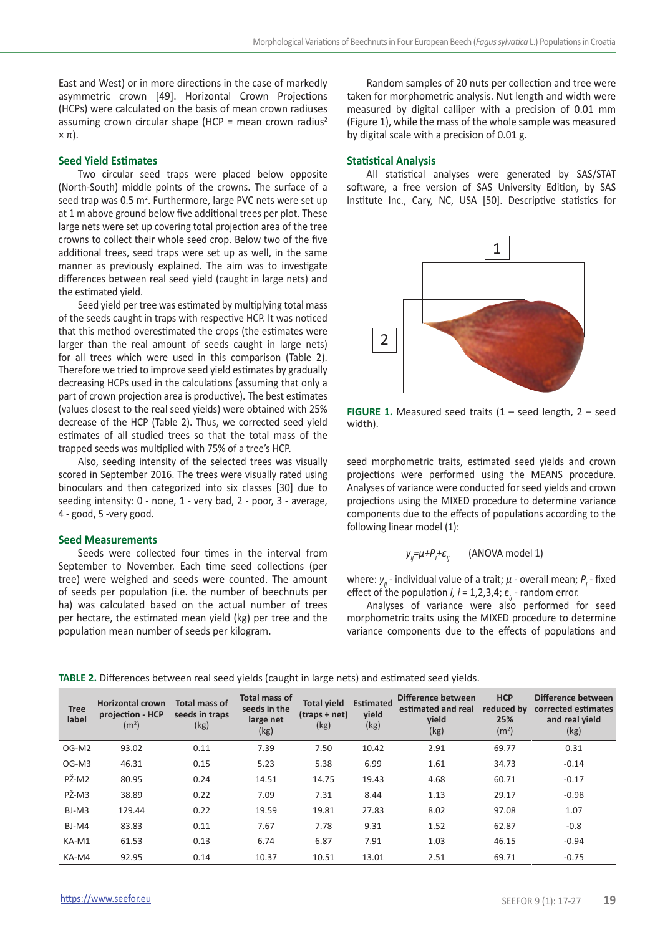East and West) or in more directions in the case of markedly asymmetric crown [49]. Horizontal Crown Projections (HCPs) were calculated on the basis of mean crown radiuses assuming crown circular shape (HCP = mean crown radius<sup>2</sup>  $\times \pi$ ).

# **Seed Yield Estimates**

Two circular seed traps were placed below opposite (North-South) middle points of the crowns. The surface of a seed trap was 0.5 m<sup>2</sup>. Furthermore, large PVC nets were set up at 1 m above ground below five additional trees per plot. These large nets were set up covering total projection area of the tree crowns to collect their whole seed crop. Below two of the five additional trees, seed traps were set up as well, in the same manner as previously explained. The aim was to investigate differences between real seed yield (caught in large nets) and the estimated yield.

Seed yield per tree was estimated by multiplying total mass of the seeds caught in traps with respective HCP. It was noticed that this method overestimated the crops (the estimates were larger than the real amount of seeds caught in large nets) for all trees which were used in this comparison (Table 2). Therefore we tried to improve seed yield estimates by gradually decreasing HCPs used in the calculations (assuming that only a part of crown projection area is productive). The best estimates (values closest to the real seed yields) were obtained with 25% decrease of the HCP (Table 2). Thus, we corrected seed yield estimates of all studied trees so that the total mass of the trapped seeds was multiplied with 75% of a tree's HCP.

Also, seeding intensity of the selected trees was visually scored in September 2016. The trees were visually rated using binoculars and then categorized into six classes [30] due to seeding intensity: 0 - none, 1 - very bad, 2 - poor, 3 - average, 4 - good, 5 -very good.

## **Seed Measurements**

Seeds were collected four times in the interval from September to November. Each time seed collections (per tree) were weighed and seeds were counted. The amount of seeds per population (i.e. the number of beechnuts per ha) was calculated based on the actual number of trees per hectare, the estimated mean yield (kg) per tree and the population mean number of seeds per kilogram.

Random samples of 20 nuts per collection and tree were taken for morphometric analysis. Nut length and width were measured by digital calliper with a precision of 0.01 mm (Figure 1), while the mass of the whole sample was measured by digital scale with a precision of 0.01 g.

#### **Statistical Analysis**

All statistical analyses were generated by SAS/STAT software, a free version of SAS University Edition, by SAS Institute Inc., Cary, NC, USA [50]. Descriptive statistics for



**FIGURE 1.** Measured seed traits (1 – seed length, 2 – seed width).

seed morphometric traits, estimated seed yields and crown projections were performed using the MEANS procedure. Analyses of variance were conducted for seed yields and crown projections using the MIXED procedure to determine variance components due to the effects of populations according to the following linear model (1):

$$
y_{ij} = \mu + P_i + \varepsilon_{ij} \qquad \text{(ANOVA model 1)}
$$

where: *yij* - individual value of a trait; *μ* - overall mean; *P<sup>i</sup>* - fixed effect of the population  $i, i = 1, 2, 3, 4$ ;  $\varepsilon_{ii}$  - random error.

Analyses of variance were also performed for seed morphometric traits using the MIXED procedure to determine variance components due to the effects of populations and

| TABLE 2. Differences between real seed yields (caught in large nets) and estimated seed yields. |  |  |  |  |  |  |
|-------------------------------------------------------------------------------------------------|--|--|--|--|--|--|
|-------------------------------------------------------------------------------------------------|--|--|--|--|--|--|

| <b>Tree</b><br>label | <b>Horizontal crown</b><br>projection - HCP<br>(m <sup>2</sup> ) | Total mass of<br>seeds in traps<br>(kg) | <b>Total mass of</b><br>seeds in the<br>large net<br>(kg) | <b>Total yield</b><br>$($ traps + net $)$<br>(kg) | <b>Estimated</b><br>vield<br>(kg) | Difference between<br>estimated and real<br>vield<br>(kg) | <b>HCP</b><br>reduced by<br>25%<br>(m <sup>2</sup> ) | Difference between<br>corrected estimates<br>and real yield<br>(kg) |
|----------------------|------------------------------------------------------------------|-----------------------------------------|-----------------------------------------------------------|---------------------------------------------------|-----------------------------------|-----------------------------------------------------------|------------------------------------------------------|---------------------------------------------------------------------|
| OG-M2                | 93.02                                                            | 0.11                                    | 7.39                                                      | 7.50                                              | 10.42                             | 2.91                                                      | 69.77                                                | 0.31                                                                |
| OG-M3                | 46.31                                                            | 0.15                                    | 5.23                                                      | 5.38                                              | 6.99                              | 1.61                                                      | 34.73                                                | $-0.14$                                                             |
| PŽ-M2                | 80.95                                                            | 0.24                                    | 14.51                                                     | 14.75                                             | 19.43                             | 4.68                                                      | 60.71                                                | $-0.17$                                                             |
| PŽ-M3                | 38.89                                                            | 0.22                                    | 7.09                                                      | 7.31                                              | 8.44                              | 1.13                                                      | 29.17                                                | $-0.98$                                                             |
| BJ-M3                | 129.44                                                           | 0.22                                    | 19.59                                                     | 19.81                                             | 27.83                             | 8.02                                                      | 97.08                                                | 1.07                                                                |
| BJ-M4                | 83.83                                                            | 0.11                                    | 7.67                                                      | 7.78                                              | 9.31                              | 1.52                                                      | 62.87                                                | $-0.8$                                                              |
| KA-M1                | 61.53                                                            | 0.13                                    | 6.74                                                      | 6.87                                              | 7.91                              | 1.03                                                      | 46.15                                                | $-0.94$                                                             |
| KA-M4                | 92.95                                                            | 0.14                                    | 10.37                                                     | 10.51                                             | 13.01                             | 2.51                                                      | 69.71                                                | $-0.75$                                                             |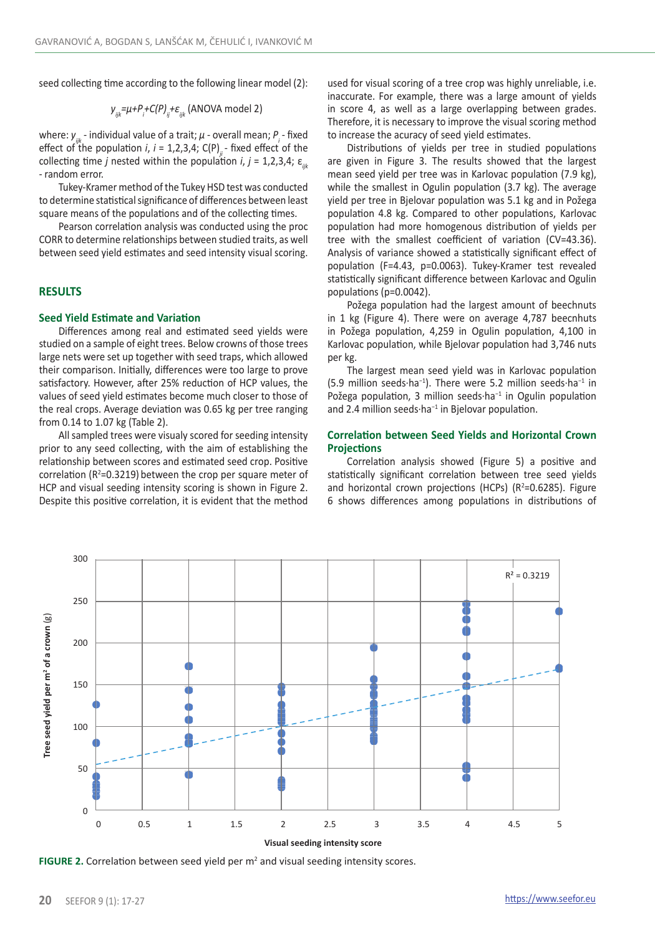seed collecting time according to the following linear model (2):

$$
y_{ijk} = \mu + P_i + C(P)_{ij} + \varepsilon_{ijk}
$$
 (ANOVA model 2)

where: *yijk* - individual value of a trait; *μ* - overall mean; *P<sup>i</sup>* - fixed effect of the population *i*,  $i = 1,2,3,4$ ; C(P)<sub>*i*</sub>-fixed effect of the collecting time *j* nested within the population *i*,  $j = 1,2,3,4$ ;  $\varepsilon_{ijk}$ - random error.

Tukey-Kramer method of the Tukey HSD test was conducted to determine statistical significance of differences between least square means of the populations and of the collecting times.

Pearson correlation analysis was conducted using the proc CORR to determine relationships between studied traits, as well between seed yield estimates and seed intensity visual scoring.

# **RESULTS**

## **Seed Yield Estimate and Variation**

Differences among real and estimated seed yields were studied on a sample of eight trees. Below crowns of those trees large nets were set up together with seed traps, which allowed their comparison. Initially, differences were too large to prove satisfactory. However, after 25% reduction of HCP values, the values of seed yield estimates become much closer to those of the real crops. Average deviation was 0.65 kg per tree ranging from 0.14 to 1.07 kg (Table 2).

All sampled trees were visualy scored for seeding intensity prior to any seed collecting, with the aim of establishing the relationship between scores and estimated seed crop. Positive correlation ( $R^2$ =0.3219) between the crop per square meter of HCP and visual seeding intensity scoring is shown in Figure 2. Despite this positive correlation, it is evident that the method

used for visual scoring of a tree crop was highly unreliable, i.e. inaccurate. For example, there was a large amount of yields in score 4, as well as a large overlapping between grades. Therefore, it is necessary to improve the visual scoring method to increase the acuracy of seed yield estimates.

Distributions of yields per tree in studied populations are given in Figure 3. The results showed that the largest mean seed yield per tree was in Karlovac population (7.9 kg), while the smallest in Ogulin population (3.7 kg). The average yield per tree in Bjelovar population was 5.1 kg and in Požega population 4.8 kg. Compared to other populations, Karlovac population had more homogenous distribution of yields per tree with the smallest coefficient of variation (CV=43.36). Analysis of variance showed a statistically significant effect of population (F=4.43, p=0.0063). Tukey-Kramer test revealed statistically significant difference between Karlovac and Ogulin populations (p=0.0042).

Požega population had the largest amount of beechnuts in 1 kg (Figure 4). There were on average 4,787 beecnhuts in Požega population, 4,259 in Ogulin population, 4,100 in Karlovac population, while Bjelovar population had 3,746 nuts per kg.

The largest mean seed yield was in Karlovac population (5.9 million seeds·ha−1). There were 5.2 million seeds·ha−1 in Požega population, 3 million seeds·ha−1 in Ogulin population and 2.4 million seeds·ha<sup>-1</sup> in Bjelovar population.

## **Correlation between Seed Yields and Horizontal Crown Projections**

Correlation analysis showed (Figure 5) a positive and statistically significant correlation between tree seed yields and horizontal crown projections (HCPs)  $(R^2=0.6285)$ . Figure 6 shows differences among populations in distributions of



FIGURE 2. Correlation between seed yield per m<sup>2</sup> and visual seeding intensity scores.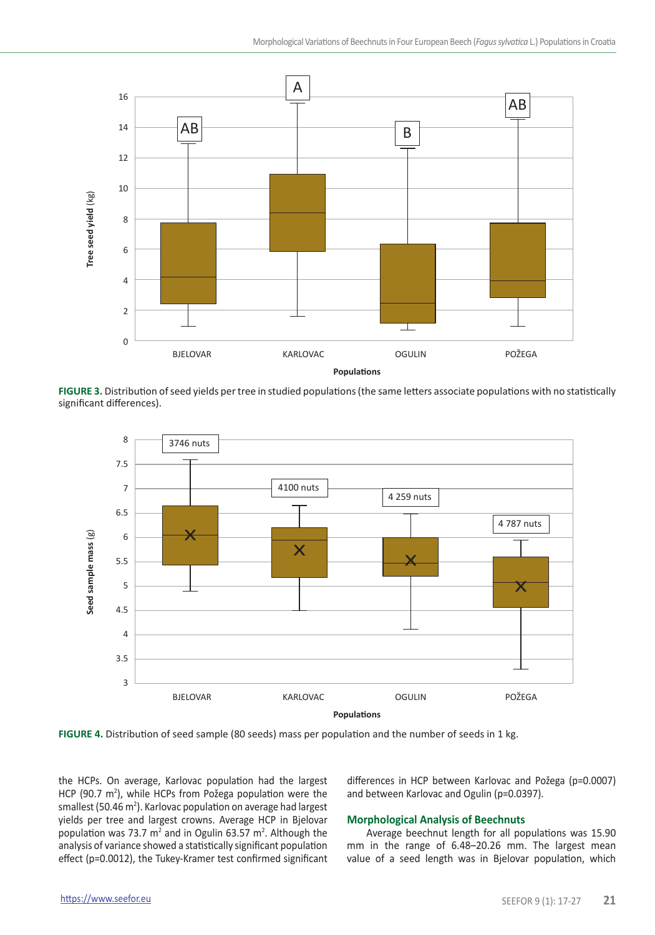

**FIGURE 3.** Distribution of seed yields per tree in studied populations (the same letters associate populations with no statistically significant differences).



**Populations**

**FIGURE 4.** Distribution of seed sample (80 seeds) mass per population and the number of seeds in 1 kg.

the HCPs. On average, Karlovac population had the largest HCP (90.7  $m^2$ ), while HCPs from Požega population were the smallest (50.46 m<sup>2</sup>). Karlovac population on average had largest yields per tree and largest crowns. Average HCP in Bjelovar population was 73.7  $m^2$  and in Ogulin 63.57  $m^2$ . Although the analysis of variance showed a statistically significant population effect (p=0.0012), the Tukey-Kramer test confirmed significant

differences in HCP between Karlovac and Požega (p=0.0007) and between Karlovac and Ogulin (p=0.0397).

## **Morphological Analysis of Beechnuts**

Average beechnut length for all populations was 15.90 mm in the range of 6.48–20.26 mm. The largest mean value of a seed length was in Bjelovar population, which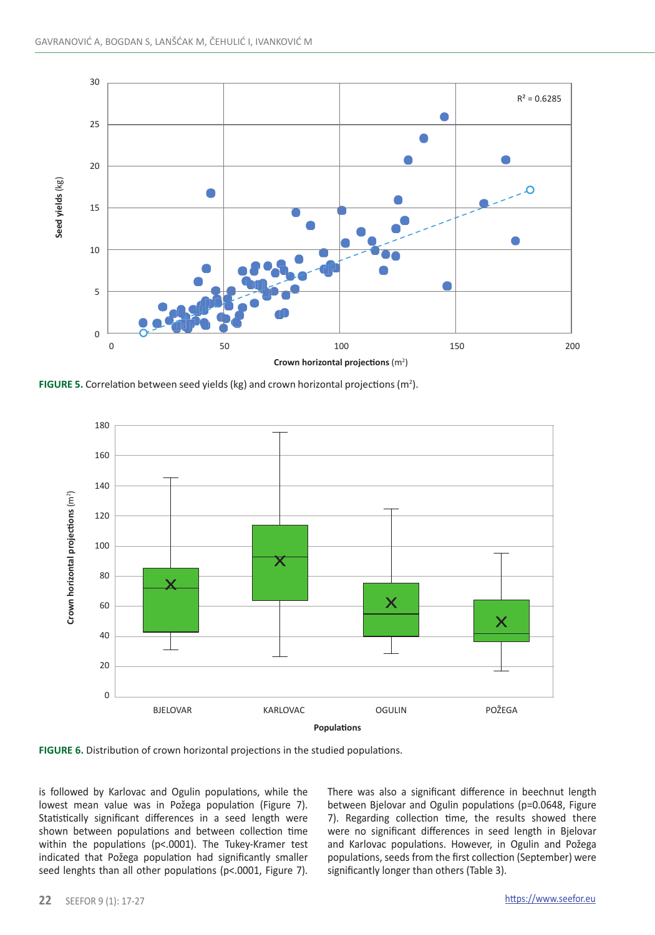

**FIGURE 5.** Correlation between seed yields (kg) and crown horizontal projections ( $m^2$ ).





is followed by Karlovac and Ogulin populations, while the lowest mean value was in Požega population (Figure 7). Statistically significant differences in a seed length were shown between populations and between collection time within the populations (p<.0001). The Tukey-Kramer test indicated that Požega population had significantly smaller seed lenghts than all other populations (p<.0001, Figure 7). There was also a significant difference in beechnut length between Bjelovar and Ogulin populations (p=0.0648, Figure 7). Regarding collection time, the results showed there were no significant differences in seed length in Bjelovar and Karlovac populations. However, in Ogulin and Požega populations, seeds from the first collection (September) were significantly longer than others (Table 3).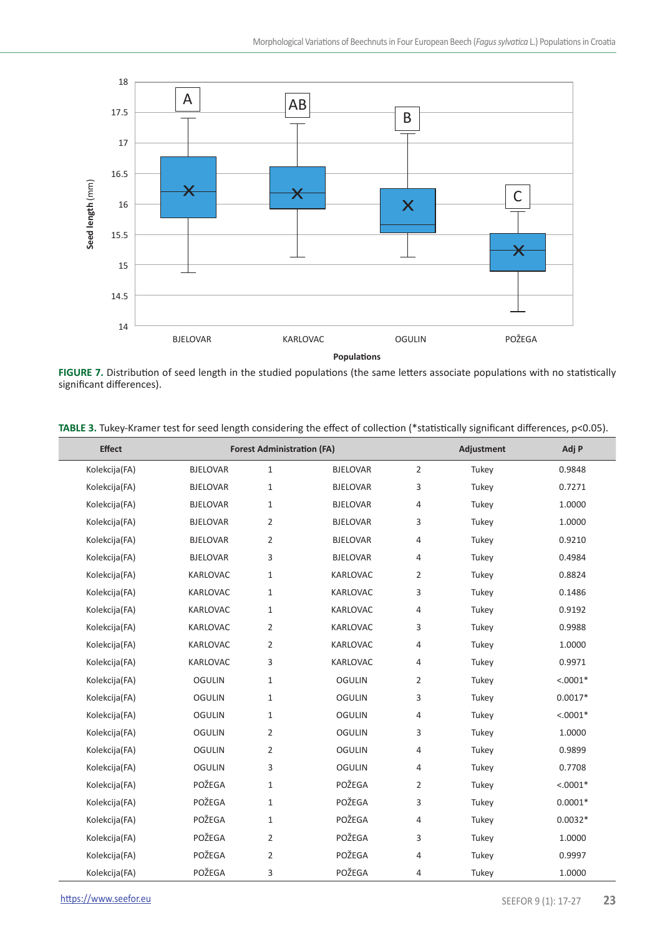

**FIGURE 7.** Distribution of seed length in the studied populations (the same letters associate populations with no statistically significant differences).

| <b>Effect</b> |                 | <b>Forest Administration (FA)</b> |                 |                | Adjustment | Adj P      |
|---------------|-----------------|-----------------------------------|-----------------|----------------|------------|------------|
| Kolekcija(FA) | <b>BJELOVAR</b> | $1\,$                             | <b>BJELOVAR</b> | $\overline{2}$ | Tukey      | 0.9848     |
| Kolekcija(FA) | <b>BJELOVAR</b> | $\mathbf{1}$                      | <b>BJELOVAR</b> | 3              | Tukey      | 0.7271     |
| Kolekcija(FA) | <b>BJELOVAR</b> | $\mathbf{1}$                      | <b>BJELOVAR</b> | 4              | Tukey      | 1.0000     |
| Kolekcija(FA) | <b>BJELOVAR</b> | $\overline{2}$                    | <b>BJELOVAR</b> | 3              | Tukey      | 1.0000     |
| Kolekcija(FA) | <b>BJELOVAR</b> | $\overline{2}$                    | <b>BJELOVAR</b> | 4              | Tukey      | 0.9210     |
| Kolekcija(FA) | <b>BJELOVAR</b> | 3                                 | <b>BJELOVAR</b> | 4              | Tukey      | 0.4984     |
| Kolekcija(FA) | KARLOVAC        | $\mathbf{1}$                      | KARLOVAC        | $\overline{2}$ | Tukey      | 0.8824     |
| Kolekcija(FA) | KARLOVAC        | 1                                 | KARLOVAC        | 3              | Tukey      | 0.1486     |
| Kolekcija(FA) | KARLOVAC        | 1                                 | KARLOVAC        | 4              | Tukey      | 0.9192     |
| Kolekcija(FA) | KARLOVAC        | $\overline{2}$                    | KARLOVAC        | 3              | Tukey      | 0.9988     |
| Kolekcija(FA) | KARLOVAC        | $\overline{2}$                    | KARLOVAC        | 4              | Tukey      | 1.0000     |
| Kolekcija(FA) | KARLOVAC        | 3                                 | KARLOVAC        | 4              | Tukey      | 0.9971     |
| Kolekcija(FA) | <b>OGULIN</b>   | 1                                 | <b>OGULIN</b>   | $\overline{2}$ | Tukey      | $< .0001*$ |
| Kolekcija(FA) | <b>OGULIN</b>   | $\mathbf{1}$                      | <b>OGULIN</b>   | 3              | Tukey      | $0.0017*$  |
| Kolekcija(FA) | <b>OGULIN</b>   | 1                                 | <b>OGULIN</b>   | 4              | Tukey      | $< .0001*$ |
| Kolekcija(FA) | <b>OGULIN</b>   | $\overline{2}$                    | <b>OGULIN</b>   | 3              | Tukey      | 1.0000     |
| Kolekcija(FA) | <b>OGULIN</b>   | $\overline{2}$                    | <b>OGULIN</b>   | 4              | Tukey      | 0.9899     |
| Kolekcija(FA) | <b>OGULIN</b>   | 3                                 | <b>OGULIN</b>   | 4              | Tukey      | 0.7708     |
| Kolekcija(FA) | POŽEGA          | $\mathbf{1}$                      | POŽEGA          | $\overline{2}$ | Tukey      | $< .0001*$ |
| Kolekcija(FA) | POŽEGA          | $\mathbf{1}$                      | POŽEGA          | 3              | Tukey      | $0.0001*$  |
| Kolekcija(FA) | POŽEGA          | $\mathbf{1}$                      | POŽEGA          | $\overline{4}$ | Tukey      | $0.0032*$  |
| Kolekcija(FA) | POŽEGA          | 2                                 | POŽEGA          | 3              | Tukey      | 1.0000     |
| Kolekcija(FA) | POŽEGA          | $\overline{2}$                    | POŽEGA          | 4              | Tukey      | 0.9997     |
| Kolekcija(FA) | POŽEGA          | 3                                 | POŽEGA          | 4              | Tukey      | 1.0000     |

**TABLE 3.** Tukey-Kramer test for seed length considering the effect of collection (\*statistically significant differences, p<0.05).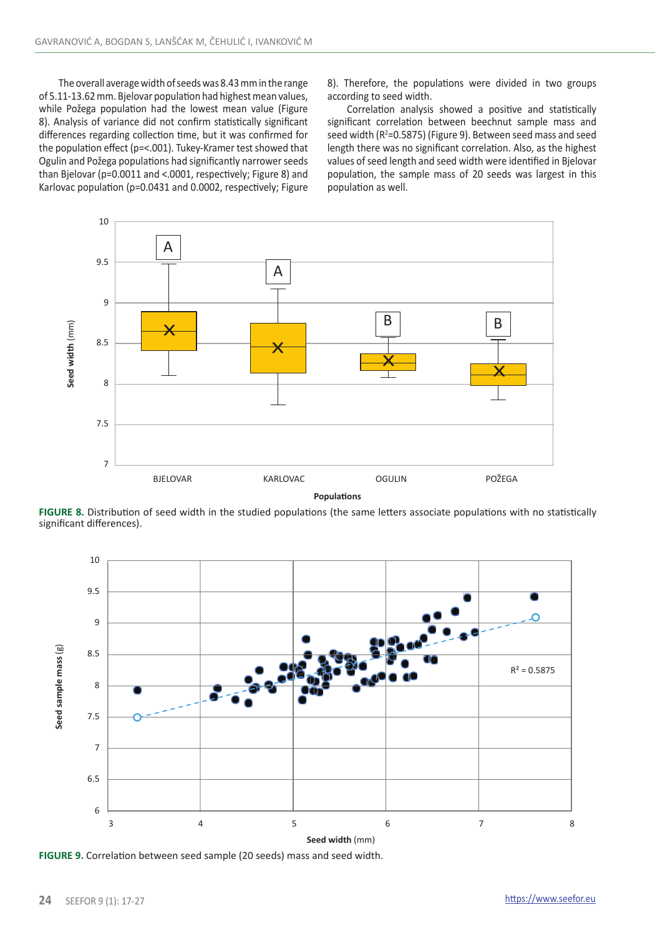The overall average width of seeds was 8.43 mm in the range of 5.11-13.62 mm. Bjelovar population had highest mean values, while Požega population had the lowest mean value (Figure 8). Analysis of variance did not confirm statistically significant differences regarding collection time, but it was confirmed for the population effect (p=<.001). Tukey-Kramer test showed that Ogulin and Požega populations had significantly narrower seeds than Bjelovar (p=0.0011 and <.0001, respectively; Figure 8) and Karlovac population (p=0.0431 and 0.0002, respectively; Figure

8). Therefore, the populations were divided in two groups according to seed width.

Correlation analysis showed a positive and statistically significant correlation between beechnut sample mass and seed width (R<sup>2</sup>=0.5875) (Figure 9). Between seed mass and seed length there was no significant correlation. Also, as the highest values of seed length and seed width were identified in Bjelovar population, the sample mass of 20 seeds was largest in this population as well.



**FIGURE 8.** Distribution of seed width in the studied populations (the same letters associate populations with no statistically significant differences).



**FIGURE 9.** Correlation between seed sample (20 seeds) mass and seed width.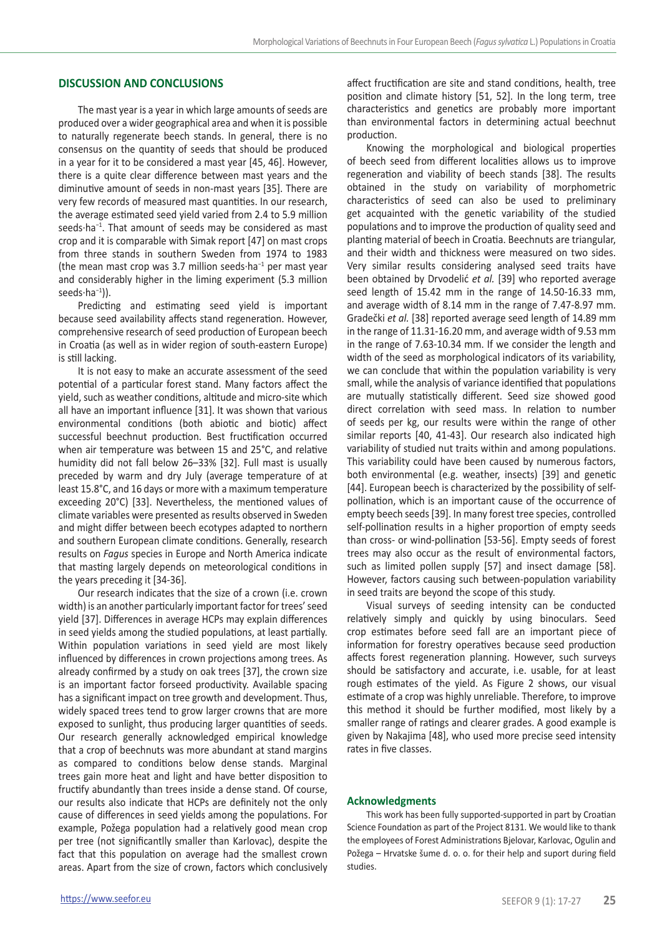## **DISCUSSION AND CONCLUSIONS**

The mast year is a year in which large amounts of seeds are produced over a wider geographical area and when it is possible to naturally regenerate beech stands. In general, there is no consensus on the quantity of seeds that should be produced in a year for it to be considered a mast year [45, 46]. However, there is a quite clear difference between mast years and the diminutive amount of seeds in non-mast years [35]. There are very few records of measured mast quantities. In our research, the average estimated seed yield varied from 2.4 to 5.9 million seeds·ha−1. That amount of seeds may be considered as mast crop and it is comparable with Simak report [47] on mast crops from three stands in southern Sweden from 1974 to 1983 (the mean mast crop was 3.7 million seeds·ha−1 per mast year and considerably higher in the liming experiment (5.3 million seeds·ha−1)).

Predicting and estimating seed yield is important because seed availability affects stand regeneration. However, comprehensive research of seed production of European beech in Croatia (as well as in wider region of south-eastern Europe) is still lacking.

It is not easy to make an accurate assessment of the seed potential of a particular forest stand. Many factors affect the yield, such as weather conditions, altitude and micro-site which all have an important influence [31]. It was shown that various environmental conditions (both abiotic and biotic) affect successful beechnut production. Best fructification occurred when air temperature was between 15 and 25°C, and relative humidity did not fall below 26–33% [32]. Full mast is usually preceded by warm and dry July (average temperature of at least 15.8°C, and 16 days or more with a maximum temperature exceeding 20°C) [33]. Nevertheless, the mentioned values of climate variables were presented as results observed in Sweden and might differ between beech ecotypes adapted to northern and southern European climate conditions. Generally, research results on *Fagus* species in Europe and North America indicate that masting largely depends on meteorological conditions in the years preceding it [34-36].

Our research indicates that the size of a crown (i.e. crown width) is an another particularly important factor for trees' seed yield [37]. Differences in average HCPs may explain differences in seed yields among the studied populations, at least partially. Within population variations in seed yield are most likely influenced by differences in crown projections among trees. As already confirmed by a study on oak trees [37], the crown size is an important factor forseed productivity. Available spacing has a significant impact on tree growth and development. Thus, widely spaced trees tend to grow larger crowns that are more exposed to sunlight, thus producing larger quantities of seeds. Our research generally acknowledged empirical knowledge that a crop of beechnuts was more abundant at stand margins as compared to conditions below dense stands. Marginal trees gain more heat and light and have better disposition to fructify abundantly than trees inside a dense stand. Of course, our results also indicate that HCPs are definitely not the only cause of differences in seed yields among the populations. For example, Požega population had a relatively good mean crop per tree (not significantlly smaller than Karlovac), despite the fact that this population on average had the smallest crown areas. Apart from the size of crown, factors which conclusively

Knowing the morphological and biological properties of beech seed from different localities allows us to improve regeneration and viability of beech stands [38]. The results obtained in the study on variability of morphometric characteristics of seed can also be used to preliminary get acquainted with the genetic variability of the studied populations and to improve the production of quality seed and planting material of beech in Croatia. Beechnuts are triangular, and their width and thickness were measured on two sides. Very similar results considering analysed seed traits have been obtained by Drvodelić *et al.* [39] who reported average seed length of 15.42 mm in the range of 14.50-16.33 mm, and average width of 8.14 mm in the range of 7.47-8.97 mm. Gradečki *et al.* [38] reported average seed length of 14.89 mm in the range of 11.31-16.20 mm, and average width of 9.53 mm in the range of 7.63-10.34 mm. If we consider the length and width of the seed as morphological indicators of its variability, we can conclude that within the population variability is very small, while the analysis of variance identified that populations are mutually statistically different. Seed size showed good direct correlation with seed mass. In relation to number of seeds per kg, our results were within the range of other similar reports [40, 41-43]. Our research also indicated high variability of studied nut traits within and among populations. This variability could have been caused by numerous factors, both environmental (e.g. weather, insects) [39] and genetic [44]. European beech is characterized by the possibility of selfpollination, which is an important cause of the occurrence of empty beech seeds [39]. In many forest tree species, controlled self-pollination results in a higher proportion of empty seeds than cross- or wind-pollination [53-56]. Empty seeds of forest trees may also occur as the result of environmental factors, such as limited pollen supply [57] and insect damage [58]. However, factors causing such between-population variability in seed traits are beyond the scope of this study.

Visual surveys of seeding intensity can be conducted relatively simply and quickly by using binoculars. Seed crop estimates before seed fall are an important piece of information for forestry operatives because seed production affects forest regeneration planning. However, such surveys should be satisfactory and accurate, i.e. usable, for at least rough estimates of the yield. As Figure 2 shows, our visual estimate of a crop was highly unreliable. Therefore, to improve this method it should be further modified, most likely by a smaller range of ratings and clearer grades. A good example is given by Nakajima [48], who used more precise seed intensity rates in five classes.

#### **Acknowledgments**

This work has been fully supported-supported in part by Croatian Science Foundation as part of the Project 8131. We would like to thank the employees of Forest Administrations Bjelovar, Karlovac, Ogulin and Požega – Hrvatske šume d. o. o. for their help and suport during field studies.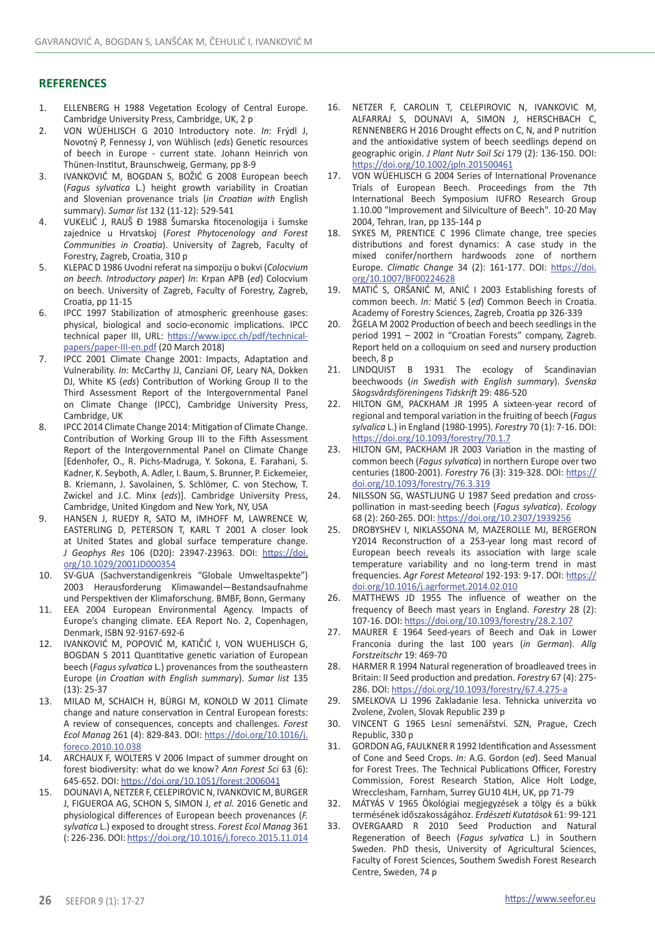### **REFERENCES**

- 1. ELLENBERG H 1988 Vegetation Ecology of Central Europe. Cambridge University Press, Cambridge, UK, 2 p
- 2. VON WÜEHLISCH G 2010 Introductory note. *In*: Frýdl J, Novotný P, Fennessy J, von Wühlisch (*eds*) Genetic resources of beech in Europe - current state. Johann Heinrich von Thünen-Institut, Braunschweig, Germany, pp 8-9
- 3. IVANKOVIĆ M, BOGDAN S, BOŽIĆ G 2008 European beech (*Fagus sylvatica* L.) height growth variability in Croatian and Slovenian provenance trials (*in Croatian with* English summary). *Sumar list* 132 (11-12): 529-541
- 4. VUKELIĆ J, RAUŠ Đ 1988 Šumarska fitocenologija i šumske zajednice u Hrvatskoj (*Forest Phytocenology and Forest Communities in Croatia*). University of Zagreb, Faculty of Forestry, Zagreb, Croatia, 310 p
- 5. KLEPAC D 1986 Uvodni referat na simpoziju o bukvi (*Colocvium on beech. Introductory paper*) *In*: Krpan APB (*ed*) Colocvium on beech. University of Zagreb, Faculty of Forestry, Zagreb, Croatia, pp 11-15
- 6. IPCC 1997 Stabilization of atmospheric greenhouse gases: physical, biological and socio-economic implications. IPCC technical paper III, URL: [https://www.ipcc.ch/pdf/technical](https://www.ipcc.ch/pdf/technical-papers/paper-III-en.pdf)[papers/paper-III-en.pdf](https://www.ipcc.ch/pdf/technical-papers/paper-III-en.pdf) (20 March 2018)
- 7. IPCC 2001 Climate Change 2001: Impacts, Adaptation and Vulnerability. *In*: McCarthy JJ, Canziani OF, Leary NA, Dokken DJ, White KS (*eds*) Contribution of Working Group II to the Third Assessment Report of the Intergovernmental Panel on Climate Change (IPCC), Cambridge University Press, Cambridge, UK
- 8. IPCC 2014 Climate Change 2014: Mitigation of Climate Change. Contribution of Working Group III to the Fifth Assessment Report of the Intergovernmental Panel on Climate Change [Edenhofer, O., R. Pichs-Madruga, Y. Sokona, E. Farahani, S. Kadner, K. Seyboth, A. Adler, I. Baum, S. Brunner, P. Eickemeier, B. Kriemann, J. Savolainen, S. Schlömer, C. von Stechow, T. Zwickel and J.C. Minx (*eds*)]. Cambridge University Press, Cambridge, United Kingdom and New York, NY, USA
- 9. HANSEN J, RUEDY R, SATO M, IMHOFF M, LAWRENCE W, EASTERLING D, PETERSON T, KARL T 2001 A closer look at United States and global surface temperature change. *J Geophys Res* 106 (D20): 23947-23963. DOI: [https://doi.](https://doi.org/10.1029/2001JD000354) [org/10.1029/2001JD000354](https://doi.org/10.1029/2001JD000354)
- 10. SV-GUA (Sachverstandigenkreis "Globale Umweltaspekte") 2003 Herausforderung Klimawandel—Bestandsaufnahme und Perspektiven der Klimaforschung. BMBF, Bonn, Germany
- 11. EEA 2004 European Environmental Agency. Impacts of Europe's changing climate. EEA Report No. 2, Copenhagen, Denmark, ISBN 92-9167-692-6
- 12. IVANKOVIĆ M, POPOVIĆ M, KATIČIĆ I, VON WUEHLISCH G, BOGDAN S 2011 Quantitative genetic variation of European beech (*Fagus sylvatica* L.) provenances from the southeastern Europe (*in Croatian with English summary*). *Sumar list* 135 (13): 25-37
- 13. MILAD M, SCHAICH H, BÜRGI M, KONOLD W 2011 Climate change and nature conservation in Central European forests: A review of consequences, concepts and challenges. *Forest Ecol Manag* 261 (4): 829-843. DOI: [https://doi.org/10.1016/j.](https://doi.org/10.1016/j.foreco.2010.10.038) [foreco.2010.10.038](https://doi.org/10.1016/j.foreco.2010.10.038)
- 14. ARCHAUX F, WOLTERS V 2006 Impact of summer drought on forest biodiversity: what do we know? *Ann Forest Sci* 63 (6): 645-652. DOI:<https://doi.org/10.1051/forest:2006041>
- 15. DOUNAVI A, NETZER F, CELEPIROVIC N, IVANKOVIC M, BURGER J, FIGUEROA AG, SCHON S, SIMON J, *et al.* 2016 Genetic and physiological differences of European beech provenances (*F. sylvatica* L.) exposed to drought stress. *Forest Ecol Manag* 361 (: 226-236. DOI:<https://doi.org/10.1016/j.foreco.2015.11.014>
- 16. NETZER F, CAROLIN T, CELEPIROVIC N, IVANKOVIC M, ALFARRAJ S, DOUNAVI A, SIMON J, HERSCHBACH C, RENNENBERG H 2016 Drought effects on C, N, and P nutrition and the antioxidative system of beech seedlings depend on geographic origin. *J Plant Nutr Soil Sci* 179 (2): 136-150. DOI: <https://doi.org/10.1002/jpln.201500461>
- 17. VON WÜEHLISCH G 2004 Series of International Provenance Trials of European Beech. Proceedings from the 7th International Beech Symposium IUFRO Research Group 1.10.00 "Improvement and Silviculture of Beech". 10-20 May 2004, Tehran, Iran, pp 135-144 p
- 18. SYKES M, PRENTICE C 1996 Climate change, tree species distributions and forest dynamics: A case study in the mixed conifer/northern hardwoods zone of northern Europe. *Climatic Change* 34 (2): 161-177. DOI: [https://doi.](https://doi.org/10.1007/BF00224628) [org/10.1007/BF00224628](https://doi.org/10.1007/BF00224628)
- 19. MATIĆ S, ORŠANIĆ M, ANIĆ I 2003 Establishing forests of common beech. *In:* Matić S (*ed*) Common Beech in Croatia. Academy of Forestry Sciences, Zagreb, Croatia pp 326-339
- 20. ŽGELA M 2002 Production of beech and beech seedlings in the period 1991 – 2002 in "Croatian Forests" company, Zagreb. Report held on a colloquium on seed and nursery production beech, 8 p
- LINDQUIST B 1931 The ecology of Scandinavian beechwoods (*in Swedish with English summary*). *Svenska Skogsvårdsföreningens Tidskrift* 29: 486-520
- 22. HILTON GM, PACKHAM JR 1995 A sixteen-year record of regional and temporal variation in the fruiting of beech (*Fagus sylvalica* L.) in England (1980-1995). *Forestry* 70 (1): 7-16. DOI: <https://doi.org/10.1093/forestry/70.1.7>
- 23. HILTON GM, PACKHAM JR 2003 Variation in the masting of common beech (*Fagus sylvatica*) in northern Europe over two centuries (1800-2001). *Forestry* 76 (3): 319-328. DOI: [https://](https://doi.org/10.1093/forestry/76.3.319) [doi.org/10.1093/forestry/76.3.319](https://doi.org/10.1093/forestry/76.3.319)
- 24. NILSSON SG, WASTLJUNG U 1987 Seed predation and crosspollination in mast-seeding beech (*Fagus sylvatica*). *Ecology* 68 (2): 260-265. DOI:<https://doi.org/10.2307/1939256>
- 25. DROBYSHEV I, NIKLASSONA M, MAZEROLLE MJ, BERGERON Y2014 Reconstruction of a 253-year long mast record of European beech reveals its association with large scale temperature variability and no long-term trend in mast frequencies. *Agr Forest Meteorol* 192-193: 9-17. DOI: [https://](https://doi.org/10.1016/j.agrformet.2014.02.010) [doi.org/10.1016/j.agrformet.2014.02.010](https://doi.org/10.1016/j.agrformet.2014.02.010)
- 26. MATTHEWS JD 1955 The influence of weather on the frequency of Beech mast years in England. *Forestry* 28 (2): 107-16. DOI:<https://doi.org/10.1093/forestry/28.2.107>
- MAURER E 1964 Seed-years of Beech and Oak in Lower Franconia during the last 100 years (*in German*). *Allg Forstzeitschr* 19: 469-70
- 28. HARMER R 1994 Natural regeneration of broadleaved trees in Britain: II Seed production and predation. *Forestry* 67 (4): 275- 286. DOI: <https://doi.org/10.1093/forestry/67.4.275-a>
- 29. SMELKOVA LJ 1996 Zakladanie lesa. Tehnicka univerzita vo Zvolene, Zvolen, Slovak Republic 239 p
- 30. VINCENT G 1965 Lesní semenářství. SZN, Prague, Czech Republic, 330 p
- 31. GORDON AG, FAULKNER R 1992 Identification and Assessment of Cone and Seed Crops. *In:* A.G. Gordon (*ed*). Seed Manual for Forest Trees. The Technical Publications Officer, Forestry Commission, Forest Research Station, Alice Holt Lodge, Wrecclesham, Farnham, Surrey GU10 4LH, UK, pp 71-79
- 32. MÁTYÁS V 1965 Ökológiai megjegyzések a tölgy és a bükk termésének időszakosságához. *Erdészeti Kutatások* 61: 99-121
- 33. OVERGAARD R 2010 Seed Production and Natural Regeneration of Beech (*Fagus sylvatica* L.) in Southern Sweden. PhD thesis, University of Agricultural Sciences, Faculty of Forest Sciences, Southem Swedish Forest Research Centre, Sweden, 74 p